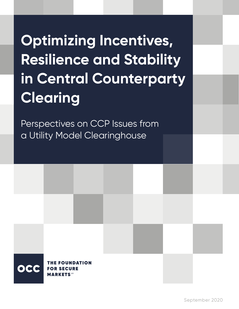# **Optimizing Incentives, Resilience and Stability in Central Counterparty Clearing**

Perspectives on CCP Issues from a Utility Model Clearinghouse

> **FOUNDATION FOR SECURE MARKETS**SM

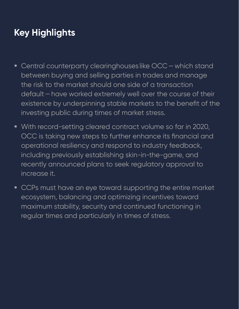## **Key Highlights**

- **Central counterparty clearinghouses like OCC which stand** between buying and selling parties in trades and manage the risk to the market should one side of a transaction default—have worked extremely well over the course of their existence by underpinning stable markets to the benefit of the investing public during times of market stress.
- With record-setting cleared contract volume so far in 2020, OCC is taking new steps to further enhance its financial and operational resiliency and respond to industry feedback, including previously establishing skin-in-the-game, and recently announced plans to seek regulatory approval to increase it.
- **CCPs must have an eye toward supporting the entire market** ecosystem, balancing and optimizing incentives toward maximum stability, security and continued functioning in regular times and particularly in times of stress.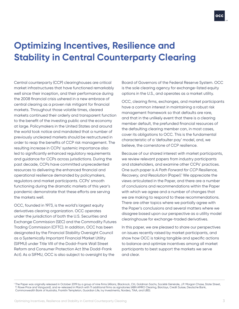

## **Optimizing Incentives, Resilience and Stability in Central Counterparty Clearing**

Central counterparty (CCP) clearinghouses are critical market infrastructures that have functioned remarkably well since their inception, and their performance during the 2008 financial crisis ushered in a new embrace of central clearing as a proven risk mitigant for financial markets. Throughout those volatile times, cleared markets continued their orderly and transparent function to the benefit of the investing public and the economy at large. Policymakers in the United States and around the world took notice and mandated that a number of previously uncleared markets should be restructured in order to reap the benefits of CCP risk management. The resulting increase in CCPs' systemic importance also led to significantly enhanced regulatory requirements and guidance for CCPs across jurisdictions. During the past decade, CCPs have committed unprecedented resources to delivering the enhanced financial and operational resilience demanded by policymakers, regulators and market participants. CCPs' smooth functioning during the dramatic markets of this year's pandemic demonstrate that these efforts are serving the markets well.

OCC, founded in 1973, is the world's largest equity derivatives clearing organization. OCC operates under the jurisdiction of both the U.S. Securities and Exchange Commission (SEC) and the Commodity Futures Trading Commission (CFTC). In addition, OCC has been designated by the Financial Stability Oversight Council as a Systemically Important Financial Market Utility (SIFMU) under Title VIII of the Dodd-Frank Wall Street Reform and Consumer Protection Act (the Dodd-Frank Act). As a SIFMU, OCC is also subject to oversight by the

Board of Governors of the Federal Reserve System. OCC is the sole clearing agency for exchange-listed equity options in the U.S., and operates as a market utility.

OCC, clearing firms, exchanges, and market participants have a common interest in maintaining a robust risk management framework so that defaults are rare, and that in the unlikely event that there is a clearing member default, the prefunded financial resources of the defaulting clearing member can, in most cases, cover its obligations to OCC. This is the fundamental characteristic of a 'defaulter pay' model, and, we believe, the cornerstone of CCP resilience.

Because of our shared interest with market participants, we review relevant papers from industry participants and stakeholders, and examine other CCPs' practices. One such paper is *A Path Forward for CCP Resilience, Recovery, and Resolution* (Paper).1 We appreciate the views articulated in the Paper, and there are a number of conclusions and recommendations within the Paper with which we agree and a number of changes that we are making to respond to these recommendations. There are other topics where we partially agree with the Paper's conclusions and several matters where we disagree based upon our perspective as a utility model clearinghouse for exchange-traded derivatives.

In this paper, we are pleased to share our perspectives on issues recently raised by market participants, and show how OCC is taking tangible and specific actions to balance and optimize incentives among all market participants to best support the markets we serve and clear.

<sup>1</sup> The Paper was originally released in October 2019 by a group of nine firms (Allianz, Blackrock, Citi, Goldman Sachs, Société Générale, J.P. Morgan Chase, State Street, T. Rowe Price and Vanguard), and re-released in March with 11 additional firms as signatories (ABN AMRO Clearing, Barclays, Credit Suisse, Deutsche Bank, Commonwealth Bank of Australia, Franklin Templeton, Guardian Life, Ivy Investments, Nordea, TIAA, and UBS).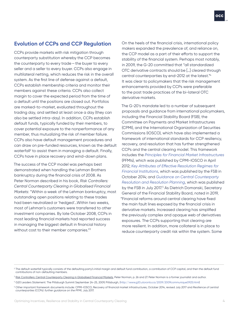#### **Evolution of CCPs and CCP Regulation**

CCPs provide markets with risk mitigation through counterparty substitution whereby the CCP becomes the counterparty to every trade—the buyer to every seller and a seller to every buyer. CCPs also engage in multilateral netting, which reduces the risk in the overall system. As the first line of defense against a default, CCPs establish membership criteria and monitor their members against these criteria. CCPs also collect margin to cover the expected period from the time of a default until the positions are closed out. Portfolios are marked-to-market, evaluated throughout the trading day, and settled at least once a day (they can also be settled intra-day). In addition, CCPs establish default funds, typically funded by their members, to cover potential exposure to the nonperformance of any member, thus mutualizing the risk of member failure. CCPs also have default management procedures and can draw on pre-funded resources, known as the default waterfall<sup>2</sup> to assist them in managing a default. Finally, CCPs have in place recovery and wind-down plans.

The success of the CCP model was perhaps best demonstrated when handling the Lehman Brothers bankruptcy during the financial crisis of 2008. As Peter Norman described in his book, *Risk Controllers: Central Counterparty Clearing in Globalised Financial Markets*: "Within a week of the Lehman bankruptcy, most outstanding open positions relating to these trades had been neutralized or 'hedged'...Within two weeks, most of Lehman's customers were transferred to other investment companies. By late October 2008, CCPs in most leading financial markets had reported success in managing the biggest default in financial history without cost to their member companies."<sup>3</sup>

On the heels of the financial crisis, international policy makers expanded the prevalence of, and reliance on, the CCP model as a part of their efforts to support the stability of the financial system. Perhaps most notably, in 2009, the G-20 committed that "all standardized OTC derivative contracts should be […] cleared through central counterparties by end-2012 at the latest."4 It was clear to policymakers that the risk management enhancements provided by CCPs were preferable to the post trade practices of the bi-lateral OTC derivative markets.

The G-20's mandate led to a number of subsequent proposals and guidance from international policymakers, including the Financial Stability Board (FSB), the Committee on Payments and Market Infrastructures (CPMI), and the International Organization of Securities Commissions (IOSCO), which have also implemented a framework of international standards for CCP resiliency, recovery, and resolution that has further strengthened CCPs and the central clearing model. This framework includes the *[Principles for Financial Market Infrastructures](https://www.bis.org/cpmi/publ/d101a.pdf)*  (PFMIs), which was published by CPMI-IOSCO in April 2012; *[Key Attributes of Effective Resolution Regimes for](https://www.fsb.org/wp-content/uploads/r_141015.pdf)  [Financial Institutions](https://www.fsb.org/wp-content/uploads/r_141015.pdf)*, which was published by the FSB in October 2014; and *[Guidance on Central Counterparty](https://www.fsb.org/wp-content/uploads/P050717-1.pdf)  [Resolution and Resolution Planning](https://www.fsb.org/wp-content/uploads/P050717-1.pdf)*, which was published by the FSB in July 2017.<sup>5</sup> As Dietrich Domanski, Secretary General of the Financial Stability Board, noted in 2019, "Financial reforms around central clearing have fixed the main fault lines exposed by the financial crisis in derivative markets. Increased clearing has simplified the previously complex and opaque web of derivatives exposures. The CCPs supporting that clearing are more resilient. In addition, more collateral is in place to reduce counterparty credit risk within the system. Some

<sup>&</sup>lt;sup>2</sup> The default waterfall typically consists of the defaulting party's initial margin and default fund contribution, a contribution of CCP capital, and then the default fund contributions of non-defaulting members.

<sup>&</sup>lt;sup>3</sup> Risk Controllers: Central Counterparty Clearing in Globalised Financial Markets, Peter Norman, p. 26 and 27. Peter Norman is a former journalist and author.

<sup>4</sup> G20 Leaders Statement: The Pittsburgh Summit September 24-25, 2009, Pittsburgh, (<http://www.g20.utoronto.ca/2009/2009communique0925.html>)

<sup>5</sup> Other important framework documents include: CPMI-IOSCO, Recovery of financial market infrastructures, October 2014, revised July 2017 and *Resilience of central counterparties* (CCPs): *further guidance on the PFMI*, July 2017.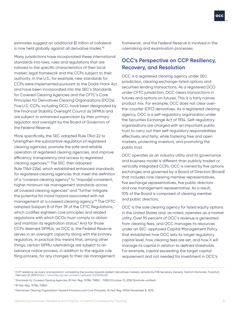estimates suggest an additional \$1 trillion of collateral is now held globally against all derivative trades."6

Many jurisdictions have incorporated these international standards into laws, rules and regulations that are tailored to the specific characteristics of their local market, legal framework and the CCPs subject to their authority. In the U.S., for example, new standards for CCPs were implemented pursuant to the Dodd-Frank Act and have been incorporated into the SEC's Standards for Covered Clearing Agencies and the CFTC's Core Principles for Derivatives Clearing Organizations (DCOs). Five U.S. CCPs, including OCC, have been designated by the Financial Stability Oversight Council as SIFMUs and are subject to enhanced supervision by their primary regulator and oversight by the Board of Governors of the Federal Reserve.

More specifically, the SEC adopted Rule 17Ad-22 to "strengthen the substantive regulation of registered clearing agencies, promote the safe and reliable operation of registered clearing agencies, and improve efficiency, transparency and access to registered clearing agencies."7 The SEC then adopted Rule 17Ad-22(e), which established enhanced standards for registered clearing agencies that meet the definition of a "covered clearing agency" to "impos[e] consistent, higher minimum risk management standards across all covered clearing agencies" and "further mitigate the potential for moral hazard associated with risk management at a covered clearing agency."8 The CFTC adopted Subpart B of Part 39 of the CFTC Regulations, which codifies eighteen core principles and related regulations with which DCOs must comply to obtain and maintain its registration status.<sup>9</sup> And for those CCPs deemed SIFMUs, as OCC is, the Federal Reserve serves in an oversight capacity along with the primary regulators. In practice this means that, among other things, certain SIFMU rulemakings are subject to an advance notice process, in addition to the regular rule filing process, for any changes to their risk management

framework, and the Federal Reserve is involved in the rulemaking and examination processes.

#### **OCC's Perspective on CCP Resiliency, Recovery, and Resolution**

OCC is a registered clearing agency under SEC jurisdiction, clearing exchange-listed options and securities lending transactions. As a registered DCO under CFTC jurisdiction, OCC clears transactions in futures and options on futures. This is a fairly narrow product mix. For example, OCC does not clear overthe-counter (OTC) derivatives. As a registered clearing agency, OCC is a self-regulatory organization under the Securities Exchange Act of 1934. Self-regulatory organizations are charged with an important public trust to carry out their self-regulatory responsibilities effectively and fairly, while fostering free and open markets, protecting investors, and promoting the public trust.

OCC operates as an industry utility and its governance and business model is different than publicly traded or vertically integrated CCPs. OCC is owned by five options exchanges and governed by a Board of Directors (Board) that includes nine clearing member representatives, five exchange representatives, five public directors and one management representative. As a result, 70% of the Board is comprised of clearing member and public directors.

OCC is the sole clearing agency for listed equity options in the United States and, as noted, operates as a market utility. Over 95 percent of OCC's revenue is generated from clearing fees, and OCC manages its resources under an SEC-approved Capital Management Policy that establishes how OCC sets its target regulatory capital level, how clearing fees are set, and how it will manage its capital in relation to defined thresholds. For example, capital exceeding the target capital requirement and not needed for investment in OCC's

<sup>&</sup>lt;sup>6</sup> CCP resilience, recovery and resolution: completing the journey towards resilient derivatives markets, remarks by FSB Secretary General, Dietrich Domanski, Frankfurt, February 27, 2019 [\(https://www.fsb.org/wp-content/uploads/S270219.pdf\)](https://www.fsb.org/wp-content/uploads/S270219.pdf).

<sup>7</sup> Standards for Covered Clearing Agencies, 81 Fed. Reg. 70786, 70852 - 70853 (October 13, 2016) (footnote omitted).

<sup>8</sup> 81 Fed. Reg. 70786, 70850.

<sup>9</sup> Derivatives Clearing Organization General Provisions and Core Principles, 76 Fed. Reg. 69334 (November 8, 2011).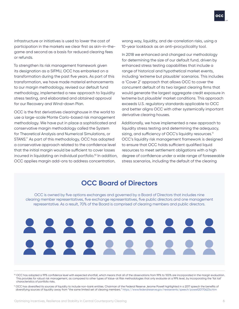infrastructure or initiatives is used to lower the cost of participation in the markets we clear first as skin-in-thegame and second as a basis for reduced clearing fees or refunds.

To strengthen its risk management framework given its designation as a SIFMU, OCC has embarked on a transformation during the past five years. As part of this transformation, we have made material enhancements to our margin methodology, revised our default fund methodology, implemented a new approach to liquidity stress testing, and elaborated and obtained approval for our Recovery and Wind-down Plan.

OCC is the first derivatives clearinghouse in the world to use a large-scale Monte Carlo-based risk management methodology. We have put in place a sophisticated and conservative margin methodology called the System for Theoretical Analysis and Numerical Simulations, or STANS." As part of this methodology, OCC has adopted a conservative approach related to the confidence level that the initial margin would be sufficient to cover losses incurred in liquidating an individual portfolio.<sup>10</sup> In addition, OCC applies margin add-ons to address concentration,

wrong way, liquidity, and de-correlation risks, using a 10-year lookback as an anti-procyclicality tool.

In 2018 we enhanced and changed our methodology for determining the size of our default fund, driven by enhanced stress testing capabilities that include a range of historical and hypothetical market events, including 'extreme but plausible' scenarios. This includes a 'Cover 2' approach that allows OCC to cover the concurrent default of its two largest clearing firms that would generate the largest aggregate credit exposure in 'extreme but plausible' market conditions. This approach exceeds U.S. regulatory standards applicable to OCC and better aligns OCC with other systemically important derivative clearing houses.

Additionally, we have implemented a new approach to liquidity stress testing and determining the adequacy, sizing, and sufficiency of OCC's liquidity resources.<sup>11</sup> OCC's liquidity risk management framework is designed to ensure that OCC holds sufficient qualified liquid resources to meet settlement obligations with a high degree of confidence under a wide range of foreseeable stress scenarios, including the default of the clearing

### **OCC Board of Directors**

OCC is owned by five options exchanges and governed by a Board of Directors that includes nine clearing member representatives, five exchange representatives, five public directors and one management representative. As a result, 70% of the Board is comprised of clearing members and public directors.



<sup>10</sup> OCC has adopted a 99% confidence level with expected shortfall, which means that all of the observations from 99% to 100% are incorporated in the margin evaluation. This provides for robust risk management, as compared to other types of Value-at Risk methodologies that only evaluate at a 99% level, by incorporating the 'fat tail' characteristics of portfolio risks.

<sup>11</sup> OCC has diversified its sources of liquidity to include non-bank entities. Chairman of the Federal Reserve Jerome Powell highlighted in a 2017 speech the benefits of diversifying sources of liquidity away from "the same limited set of clearing members."<https://www.federalreserve.gov/newsevents/speech/powell20170623a.htm>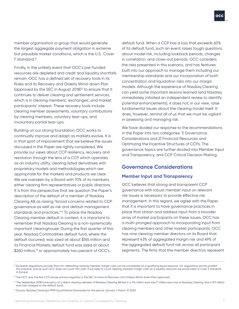member organization or group that would generate the largest aggregate payment obligation in extreme but plausible market conditions, which is the U.S. 'Cover 1' standard.12

Finally, in the unlikely event that OCC's pre-funded resources are depleted and credit and liquidity shortfalls remain, OCC has a defined set of recovery tools in its Rules and its Recovery and Orderly Wind-down Plan (approved by the SEC in August 2018)13 to ensure that it continues to deliver clearing and settlement services, which is in clearing members', exchanges', and market participants' interest. These recovery tools include clearing member assessments, voluntary contributions by clearing members, voluntary tear-ups, and involuntary partial tear-ups.

Building on our strong foundation, OCC works to continually improve and adapt as markets evolve. It is in that spirit of improvement that we believe the issues discussed in the Paper are rightly considered. We provide our views about CCP resiliency, recovery and resolution through the lens of a CCP which operates as an industry utility, clearing listed derivatives with proprietary models and methodologies which are appropriate for the markets and products we clear. We are overseen by a Board with 70% of its members either clearing firm representatives or public directors. It is from this perspective that we question the Paper's description of the default of a member of Nasdaq Clearing AB as raising "broad concerns related to CCP governance as well as risk and default management standards and practices."14 To place the Nasdaq Clearing member default in context, it is important to remember that Nasdaq Clearing is a non-systemically important clearinghouse. During the first quarter of this year, Nasdaq Commodities default fund, where the default occurred, was sized at about \$165 million and its Financial Markets default fund was sized at about \$260 million,<sup>15</sup> or approximately two percent of OCC's

default fund. When a CCP has a loss that exceeds 60% of its default fund, such an event raises tough questions about model risk, including lookback periods, changes in correlation, and close-out periods. OCC considers the risks presented in this scenario, and has features built into our approach to manage them including our membership standards and our incorporation of both concentration and liquidation risks into our margin models. Although the experience of Nasdaq Clearing can yield some important lessons learned (and Nasdaq immediately initiated an independent review to identify potential enhancements), it does not, in our view, raise fundamental issues about the clearing model itself. It does, however, remind all of us that we must be vigilant in assessing and managing risk.

We have divided our response to the recommendations in the Paper into two categories: 1) Governance Considerations and 2) Financial Resources and Optimizing the Incentive Structures of CCPs. The governance topics are further divided into Member Input and Transparency, and CCP Critical Decision Making.

#### **Governance Considerations**

#### **Member Input and Transparency**

OCC believes that strong and transparent CCP governance with robust member input on relevant risk issues is necessary to provide effective risk management. In this regard, we agree with the Paper that it is important to have governance practices in place that obtain and address input from a broader array of market participants on these issues. OCC has a multi-pronged approach to incorporating input from clearing members and other market participants. OCC has nine clearing member directors on its Board that represent 43% of aggregated margin risk and 49% of the aggregated default fund risk across all participant segments. The firms that the member directors represent

<sup>&</sup>lt;sup>12</sup> European regulations provide that non-defaulting clearing member margin cash can be considered as a qualifying liquid resource. U.S. regulations strictly prohibit this practice, and as such OCC does not count this cash. If we were to count clearing member margin cash as a liquidity resource we would meet a Cover 2 standard in Europe.

<sup>13</sup> The OCC was the first CCP whose primary regulator is the SEC to have its Recovery and Orderly Wind-down Plan approved.

<sup>&</sup>lt;sup>14</sup> The September 2018 bankruptcy of a direct clearing member of Nasdaq Clearing AB led to a 114 million euro loss (7 million euro loss to Nasdaq Clearing and a 107 million euro loss charged to the default fund).

<sup>&</sup>lt;sup>15</sup> Source: Nasdaq Clearing's PFMI Quantitative Disclosures for the period January 1-March 31 2020.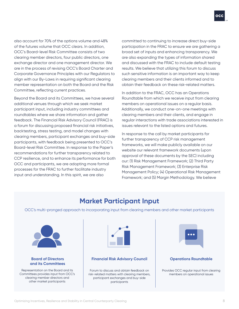also account for 70% of the options volume and 48% of the futures volume that OCC clears. In addition, OCC's Board-level Risk Committee consists of two clearing member directors, four public directors, one exchange director and one management director. We are in the process of revising OCC's Board Charter and Corporate Governance Principles with our Regulators to align with our By-Laws in requiring significant clearing member representation on both the Board and the Risk Committee, reflecting current practices.

Beyond the Board and its Committees, we have several additional venues through which we seek market participant input, including industry committees and roundtables where we share information and gather feedback. The Financial Risk Advisory Council (FRAC) is a forum for discussing proposed financial risk initiatives, backtesting, stress testing, and model changes with clearing members, participant exchanges and buy-side participants, with feedback being presented to OCC's Board-level Risk Committee. In response to the Paper's recommendations for further transparency related to CCP resilience, and to enhance its performance for both OCC and participants, we are adopting more formal processes for the FRAC to further facilitate industry input and understanding. In this spirit, we are also

committed to continuing to increase direct buy-side participation in the FRAC to ensure we are gathering a broad set of inputs and enhancing transparency. We are also expanding the types of information shared and discussed with the FRAC to include default testing results. We believe that utilizing this forum to discuss such sensitive information is an important way to keep clearing members and their clients informed and to obtain their feedback on these risk-related matters.

In addition to the FRAC, OCC has an Operations Roundtable from which we receive input from clearing members on operational issues on a regular basis. Additionally, we conduct one-on-one meetings with clearing members and their clients, and engage in regular interactions with trade associations interested in issues relevant to the listed options and futures.

In response to the call by market participants for further transparency of CCP risk management frameworks, we will make publicly available on our website our relevant framework documents (upon approval of these documents by the SEC) including our: (1) Risk Management Framework; (2) Third Party Risk Management Framework; (3) Enterprise Risk Management Policy; (4) Operational Risk Management Framework; and (5) Margin Methodology. We believe

### **Market Participant Input**

OCC's multi-pronged approach to incorporating input from clearing members and other market participants



#### **Board of Directors and its Committees**

Representation on the Board and its Committees provides input from OCC's clearing member directors and other market participants

#### **Financial Risk Advisory Council Operations Roundtable**

Forum to discuss and obtain feedback on risk-related matters with clearing members, participant exchanges and buy-side participants



Provides OCC regular input from clearing members on operational issues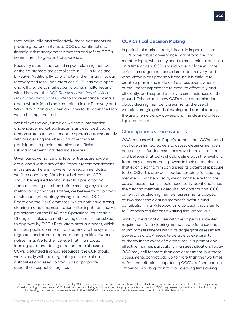that individually, and collectively, these documents will provide greater clarity as to OCC's operational and financial risk management practices and reflect OCC's commitment to greater transparency.

Recovery actions that could impact clearing members or their customers are established in OCC's Rules and By-Laws. Additionally, to promote further insight into our recovery and resolution practices, OCC has developed and will provide to market participants simultaneously with this paper the *OCC Recovery and Orderly Wind-Down Plan Participant Guide* to share enhanced details about what is (and is not) contained in our Recovery and Wind-down Plan and when and how tools within the Plan would be implemented.

We believe the ways in which we share information and engage market participants as described above demonstrate our commitment to operating transparently with our clearing members and other market participants to provide effective and efficient risk management and clearing services.

Given our governance and level of transparency, we are aligned with many of the Paper's recommendations in this area. There is, however, one recommendation we find concerning. We do not believe that CCPs should be required to obtain explicit pre-approval from all clearing members before making any rule or methodology changes. Rather, we believe that approval of rule and methodology changes lies with OCC's Board and the Risk Committee, which both have strong clearing member representation, after input from market participants at the FRAC and Operations Roundtable. Changes in rules and methodologies are further subject to approval by OCC's Regulators after a process, which includes public comment, transparency to the systemic regulator, and often a separate and specific advance notice filing. We further believe that in a situation leading up to and during a period that exhausts a CCP's prefunded financial resources, the CCP should work closely with their regulatory and resolution authorities and seek approvals as appropriate under their respective regimes.

#### **CCP Critical Decision Making**

In periods of market stress, it is vitally important that CCPs have robust governance, with strong clearing member input, when they need to make critical decisions on a timely basis. CCPs should have in place ex-ante default management procedures and recovery, and wind-down plans precisely because it is difficult to create a plan in the middle of a stress event, when it is of the utmost importance to execute effectively and efficiently, and respond quickly to circumstances on the ground. This includes how CCPs make determinations about clearing member assessments, the use of variation margin gains haircutting and partial tear-ups, the use of emergency powers, and the clearing of less liquid products.

#### Clearing member assessments

OCC concurs with the Paper's authors that CCPs should not have unlimited powers to assess clearing members once the pre-funded resources have been exhausted, and believes that CCPs should define both the level and frequency of assessment powers in their rulebooks so that each clearing firm can assess its potential exposure to the CCP. This provides needed certainty for clearing members. That being said, we do not believe that the cap on assessments should necessarily be at one times the clearing member's default fund contribution. OCC currently has clearing member assessments capped at two times the clearing member's default fund contribution in its Rulebook, an approach that is similar to European regulations awaiting final approval.<sup>16</sup>

Similarly, we do not agree with the Paper's suggested requirement for a clearing member vote for a second round of assessments within its aggregate assessment powers, as a CCP needs to be able to exercise its authority in the event of a credit loss in a prompt and effective manner, particularly in a stress situation. Today, OCC may call for more than one assessment, but these assessments cannot add up to more than the two times default contributions cap during OCC's defined cooling off period. An obligation to 'poll' clearing firms during

<sup>&</sup>lt;sup>16</sup> In the event a proportionate charge is levied by OCC against clearing members' contributions to the default fund, an automatic minimum 15 calendar-day coolingoff period (rolling to a maximum of 20 days) commences, during which time the total proportionate charges that OCC may assess against the contribution of any particular clearing member cannot exceed an additional 200% of that clearing member's then-required contribution to the default fund.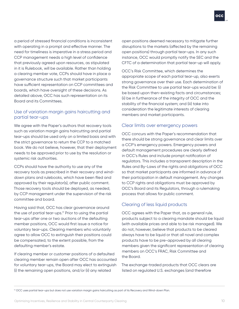a period of stressed financial conditions is inconsistent with operating in a prompt and effective manner. The need for timeliness is imperative in a stress period and CCP management needs a high level of confidence that previously agreed upon resources, as stipulated in it is Rulebook, will be available. Rather than holding a clearing member vote, CCPs should have in place a governance structure such that market participants have sufficient representation on CCP committees and boards, which have oversight of these decisions. As detailed above, OCC has such representation on its Board and its Committees.

#### Use of variation margin gains haircutting and partial tear-ups

We agree with the Paper's authors that recovery tools such as variation margin gains haircutting and partial tear-ups should be used only on a limited basis and with the strict governance to return the CCP to a matched book. We do not believe, however, that their deployment needs to be approved prior to use by the resolution or systemic risk authorities.

CCPs should have the authority to use any of the recovery tools as prescribed in their recovery and winddown plans and rulebooks, which have been filed and approved by their regulator(s), after public comment. Those recovery tools should be deployed, as needed, by CCP management under the supervision of the risk committee and board.

Having said that, OCC has clear governance around the use of partial tear-ups.<sup>17</sup> Prior to using the partial tear-ups after one or two auctions of the defaulting member positions, OCC would first issue a notice for voluntary tear-ups. Clearing members who voluntarily agree to allow OCC to extinguish their positions could be compensated, to the extent possible, from the defaulting member's estate.

If clearing member or customer positions of a defaulted clearing member remain open after OCC has accounted for voluntary tear-ups, the Board may elect to extinguish (i) the remaining open positions, and/or (ii) any related

open positions deemed necessary to mitigate further disruptions to the markets (affected by the remaining open positions) through partial tear-ups. In any such instance, OCC would promptly notify the SEC and the CFTC of a determination that partial tear-up will apply.

OCC's Risk Committee, which determines the appropriate scope of each partial tear-up, also exerts strong governance over their use. Each determination of the Risk Committee to use partial tear-ups would be: (i) be based upon then-existing facts and circumstances; (ii) be in furtherance of the integrity of OCC and the stability of the financial system; and (iii) take into consideration the legitimate interests of clearing members and market participants.

#### Clear limits over emergency powers

OCC concurs with the Paper's recommendation that there should be strong governance and clear limits over a CCP's emergency powers. Emergency powers and default management procedures are clearly defined in OCC's Rules and include prompt notification of regulators. This includes a transparent description in the Rules and By-Laws of the rights and obligations of OCC so that market participants are informed in advance of their participation in default management. Any changes to CCP rights and obligations must be approved by OCC's Board and its Regulators, through a rulemaking process that allows for public comment.

#### Clearing of less liquid products

OCC agrees with the Paper that, as a general rule, products subject to a clearing mandate should be liquid (with available prices and able to be risk managed). We do not, however, believe that products to be cleared always have to be liquid or that all novel and complex products have to be pre-approved by all clearing members given the significant representation of clearing members on OCC's FRAC, Risk Committee and the Board.

The exchange-traded products that OCC clears are listed on regulated U.S. exchanges (and therefore

<sup>17</sup> OCC uses partial tear-ups but does not use variation margin gains haircutting as part of its Recovery and Wind-down Plan.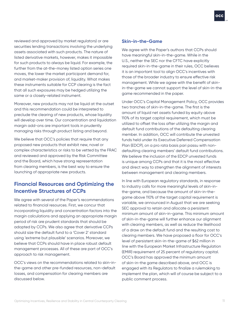reviewed and approved by market regulators) or are securities lending transactions involving the underlying assets associated with such products. The nature of listed derivative markets, however, makes it impossible for such products to always be liquid. For example, the further from the at-the-money listed option series one moves, the lower the market participant demand for, and market-maker provision of, liquidity. What makes these instruments suitable for CCP clearing is the fact that all such exposures may be hedged utilizing the same or a closely-related instrument.

Moreover, new products may not be liquid at the outset and this recommendation could be interpreted to preclude the clearing of new products, whose liquidity will develop over time. Our concentration and liquidation margin add-ons are important tools in prudently managing risks through product listing and beyond.

We believe that OCC's policies that require that any proposed new products that exhibit new, novel or complex characteristics or risks to be vetted by the FRAC and reviewed and approved by the Risk Committee and the Board, which have strong representation from clearing members, is the best way to ensure the launching of appropriate new products.

#### **Financial Resources and Optimizing the Incentive Structures of CCPs**

We agree with several of the Paper's recommendations related to financial resources. First, we concur that incorporating liquidity and concentration factors into the margin calculations and applying an appropriate margin period of risk are prudent standards that should be adopted by CCPs. We also agree that derivative CCPs should size the default fund to a 'Cover 2' standard using 'extreme but plausible' scenarios. Moreover, we believe that CCPs should have in place robust default management processes. All of these are part of OCC's approach to risk management.

OCC's views on the recommendations related to skin-inthe-game and other pre-funded resources, non-default losses, and compensation for clearing members are discussed below.

#### **Skin-in-the-Game**

We agree with the Paper's authors that CCPs should have meaningful skin-in-the-game. While in the U.S., neither the SEC nor the CFTC have explicitly required skin-in-the-game in their rules, OCC believes it is an important tool to align OCC's incentives with those of the broader industry to ensure effective risk management. While we agree with the benefit of skinin-the-game we cannot support the level of skin-in-the game recommended in the paper.

Under OCC's Capital Management Policy, OCC provides two tranches of skin-in-the-game. The first is the amount of liquid net assets funded by equity above 110% of its target capital requirement, which must be utilized to offset the loss after utilizing the margin and default fund contributions of the defaulting clearing member. In addition, OCC will contribute the unvested funds held under its Executive Deferred Compensation Plan (EDCP), on a pro rata basis pari passu with nondefaulting clearing members' default fund contributions. We believe the inclusion of the EDCP unvested funds is unique among CCPs and that it is the most effective and direct way to strengthen the alignment of interests between management and clearing members.

In line with European regulatory standards, in response to industry calls for more meaningful levels of skin-inthe-game, and because the amount of skin-in-thegame above 110% of the target capital requirement is variable, we announced in August that we are seeking SEC approval to retain and allocate a persistent minimum amount of skin-in-game. This minimum amount of skin-in-the-game will further enhance our alignment with clearing members, as well as reduce the likelihood of a draw on the default fund and the resulting cost to clearing members. We have proposed a floor for OCC's level of persistent skin-in-the-game of \$62 million in line with the European Market Infrastructure Regulation (EMIR) requirement of 25 percent of regulatory capital. OCC's Board has approved the minimum amount of skin-in-the game described above, and OCC is engaged with its Regulators to finalize a rulemaking to implement the plan, which will of course be subject to a public comment process.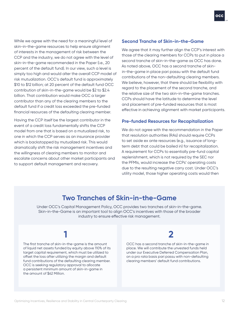While we agree with the need for a meaningful level of skin-in-the-game resources to help ensure alignment of interests in the management of risk between the CCP and the industry, we do not agree with the level of skin-in-the-game recommended in the Paper (i.e., 20 percent of the default fund). In our view, such a level is simply too high and would alter the overall CCP model of risk mutualization. OCC's default fund is approximately \$10 to \$12 billion; at 20 percent of the default fund OCC contribution of skin-in-the-game would be \$2 to \$2.4 billion. That contribution would make OCC a larger contributor than any of the clearing members to the default fund if a credit loss exceeded the pre-funded financial resources of the defaulting clearing member.

Having the CCP itself be the largest contributor in the event of a credit loss fundamentally shifts the CCP model from one that is based on a mutualized risk, to one in which the CCP serves as an insurance provider which is backstopped by mutualized risk. This would dramatically shift the risk management incentives and the willingness of clearing members to monitor and escalate concerns about other market participants and to support default management and recovery.

#### **Second Tranche of Skin-in-the-Game**

We agree that it may further align the CCP's interest with those of the clearing members for CCPs to put in place a second tranche of skin-in-the-game as OCC has done. As noted above, OCC has a second tranche of skinin-the-game in place pari passu with the default fund contributions of the non-defaulting clearing members. We believe, however, that there should be flexibility with regard to the placement of the second tranche, and the relative size of the two skin-in-the-game tranches. CCPs should have the latitude to determine the level and placement of pre-funded resources that is most effective in achieving alignment with market participants.

#### **Pre-funded Resources for Recapitalization**

We do not agree with the recommendation in the Paper that resolution authorities (RAs) should require CCPs to set aside ex ante resources (e.g., issuance of longterm debt that could be bailed in) for recapitalization. A requirement for CCPs to essentially pre-fund capital replenishment, which is not required by the SEC nor the PFMIs, would increase the CCPs' operating costs due to the resulting negative carry cost. Under OCC's utility model, those higher operating costs would then

### **Two Tranches of Skin-in-the-Game**

Under OCC's Capital Management Policy, OCC provides two tranches of skin-in-the-game. Skin-in-the-Game is an important tool to align OCC's incentives with those of the broader industry to ensure effective risk management.

The first tranche of skin-in-the-game is the amount of liquid net assets funded by equity above 110% of its target capital requirement, which must be utilized to offset the loss after utilizing the margin and default fund contributions of the defaulting clearing member. OCC is seeking regulatory approval to allocate a persistent minimum amount of skin-in-game in the amount of \$62 Million.

## **1 2**

OCC has a second tranche of skin-in-the-game in place. We will contribute the unvested funds held under our Executive Deferred Compensation Plan, on a pro rata basis pari passu with non-defaulting clearing members' default fund contributions.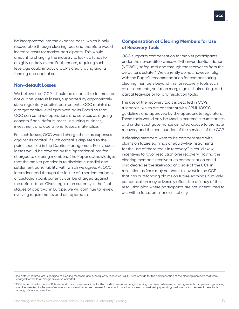be incorporated into the expense base, which is only recoverable through clearing fees and therefore would increase costs for market participants. This would amount to charging the industry to lock up funds for a highly unlikely event. Furthermore, requiring such leverage could impact a CCP's credit rating and its funding and capital costs.

#### **Non-default Losses**

We believe that CCPs should be responsible for most but not all non-default losses, supported by appropriately sized regulatory capital requirements. OCC maintains a target capital level approved by its Board so that OCC can continue operations and services as a going concern if non-default losses, including business, investment and operational losses, materialize.

For such losses, OCC would charge these as expenses against its capital. If such capital is depleted to the point specified in the Capital Management Policy, such losses would be covered by the 'operational loss fee' charged to clearing members. The Paper acknowledges that the market practice is to disclaim custodial and settlement bank liability, with which we agree. At OCC, losses incurred through the failure of a settlement bank or custodian bank currently can be charged against the default fund. Given regulation currently in the final stages of approval in Europe, we will continue to review evolving requirements and our approach.

#### **Compensation of Clearing Members for Use of Recovery Tools**

OCC supports compensation for market participants under the no-creditor-worse-off-than-under-liquidation (NCWOL) safeguard and through the recoveries from the defaulter's estate.<sup>18</sup> We currently do not, however, align with the Paper's recommendation for compensating clearing members beyond this for recovery tools such as assessments, variation margin gains haircutting, and partial tear-ups or for any resolution tools.

The use of the recovery tools is detailed in CCPs' rulebooks, which are consistent with CPMI-IOSCO guidelines and approved by the appropriate regulators. These tools would only be used in extreme circumstances and under strict governance as noted above to promote recovery and the continuation of the services of the CCP.

If clearing members were to be compensated with claims on future earnings or equity-like instruments for the use of these tools in recovery,<sup>19</sup> it could skew incentives to favor resolution over recovery. Having the clearing members receive such compensation could also decrease the likelihood of a sale of the CCP in resolution as firms may not want to invest in the CCP that has outstanding claims on future earnings. Similarly, compensation may adversely affect the efficacy of the resolution plan where participants are not incentivized to act with a focus on financial stability.

<sup>18</sup> If a default-related loss is charged to clearing members and subsequently recovered, OCC Rules provide for the compensation of the clearing members that were charged for the loss through a reverse waterfall.

<sup>&</sup>lt;sup>19</sup> OCC is permitted under our Rules to reallocate losses associated with a partial tear-up amongst clearing members. While we do not agree with compensating clearing members related to the use of recovery tools, we will exercise the use of the tools in as fair a manner as possible by spreading the losses from the use of these tools among all clearing members.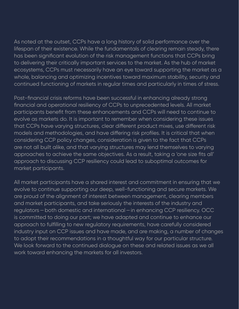As noted at the outset, CCPs have a long history of solid performance over the lifespan of their existence. While the fundamentals of clearing remain steady, there has been significant evolution of the risk management functions that CCPs bring to delivering their critically important services to the market. As the hub of market ecosystems, CCPs must necessarily have an eye toward supporting the market as a whole, balancing and optimizing incentives toward maximum stability, security and continued functioning of markets in regular times and particularly in times of stress.

Post-financial crisis reforms have been successful in enhancing already strong financial and operational resiliency of CCPs to unprecedented levels. All market participants benefit from these enhancements and CCPs will need to continue to evolve as markets do. It is important to remember when considering these issues that CCPs have varying structures, clear different product mixes, use different risk models and methodologies, and have differing risk profiles. It is critical that when considering CCP policy changes, consideration is given to the fact that CCPs are not all built alike, and that varying structures may lend themselves to varying approaches to achieve the same objectives. As a result, taking a 'one size fits all' approach to discussing CCP resiliency could lead to suboptimal outcomes for market participants.

All market participants have a shared interest and commitment in ensuring that we evolve to continue supporting our deep, well-functioning and secure markets. We are proud of the alignment of interest between management, clearing members and market participants, and take seriously the interests of the industry and regulators—both domestic and international—in enhancing CCP resiliency. OCC is committed to doing our part; we have adapted and continue to enhance our approach to fulfilling to new regulatory requirements, have carefully considered industry input on CCP issues and have made, and are making, a number of changes to adopt their recommendations in a thoughtful way for our particular structure. We look forward to the continued dialogue on these and related issues as we all work toward enhancing the markets for all investors.